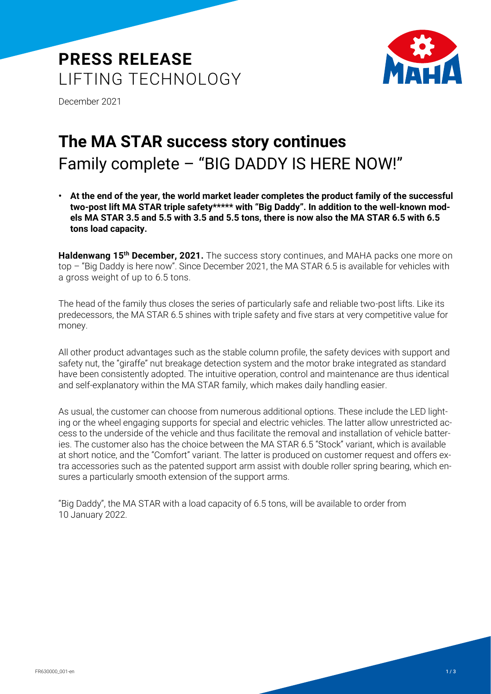# **PRESS RELEASE** LIFTING TECHNOLOGY



December 2021

# **The MA STAR success story continues** Family complete – "BIG DADDY IS HERE NOW!"

**• At the end of the year, the world market leader completes the product family of the successful two-post lift MA STAR triple safety\*\*\*\*\* with "Big Daddy". In addition to the well-known models MA STAR 3.5 and 5.5 with 3.5 and 5.5 tons, there is now also the MA STAR 6.5 with 6.5 tons load capacity.**

**Haldenwang 15th December, 2021.** The success story continues, and MAHA packs one more on top – "Big Daddy is here now". Since December 2021, the MA STAR 6.5 is available for vehicles with a gross weight of up to 6.5 tons.

The head of the family thus closes the series of particularly safe and reliable two-post lifts. Like its predecessors, the MA STAR 6.5 shines with triple safety and five stars at very competitive value for money.

All other product advantages such as the stable column profile, the safety devices with support and safety nut, the "giraffe" nut breakage detection system and the motor brake integrated as standard have been consistently adopted. The intuitive operation, control and maintenance are thus identical and self-explanatory within the MA STAR family, which makes daily handling easier.

As usual, the customer can choose from numerous additional options. These include the LED lighting or the wheel engaging supports for special and electric vehicles. The latter allow unrestricted access to the underside of the vehicle and thus facilitate the removal and installation of vehicle batteries. The customer also has the choice between the MA STAR 6.5 "Stock" variant, which is available at short notice, and the "Comfort" variant. The latter is produced on customer request and offers extra accessories such as the patented support arm assist with double roller spring bearing, which ensures a particularly smooth extension of the support arms.

"Big Daddy", the MA STAR with a load capacity of 6.5 tons, will be available to order from 10 January 2022.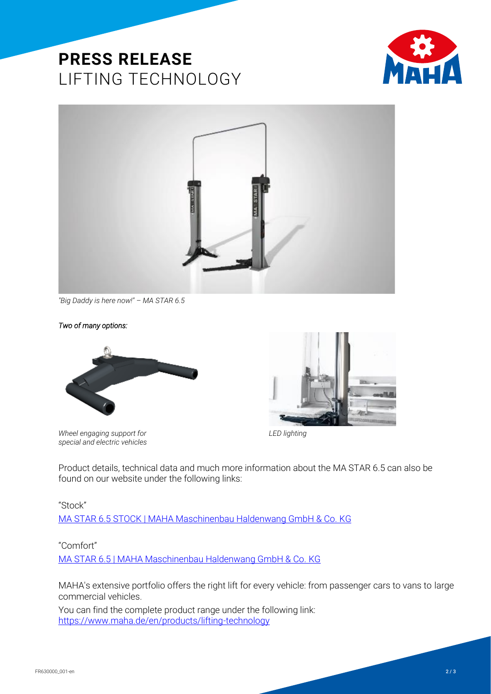## **PRESS RELEASE** LIFTING TECHNOLOGY





*"Big Daddy is here now!" – MA STAR 6.5*

#### *Two of many options:*

*special and electric vehicles*





*Wheel engaging support for LED lighting*

Product details, technical data and much more information about the MA STAR 6.5 can also be found on our website under the following links:

#### "Stock"

[MA STAR 6.5 STOCK | MAHA Maschinenbau Haldenwang GmbH & Co. KG](https://www.maha.de/en/products/lifting-technology/two-post-lift/ma-star-65-stock~p25712)

#### "Comfort"

[MA STAR 6.5 | MAHA Maschinenbau Haldenwang GmbH & Co. KG](https://www.maha.de/en/products/lifting-technology/two-post-lift/ma-star-65~p25715)

MAHA's extensive portfolio offers the right lift for every vehicle: from passenger cars to vans to large commercial vehicles.

You can find the complete product range under the following link: https://www.maha.de/en/products/lifting-technology